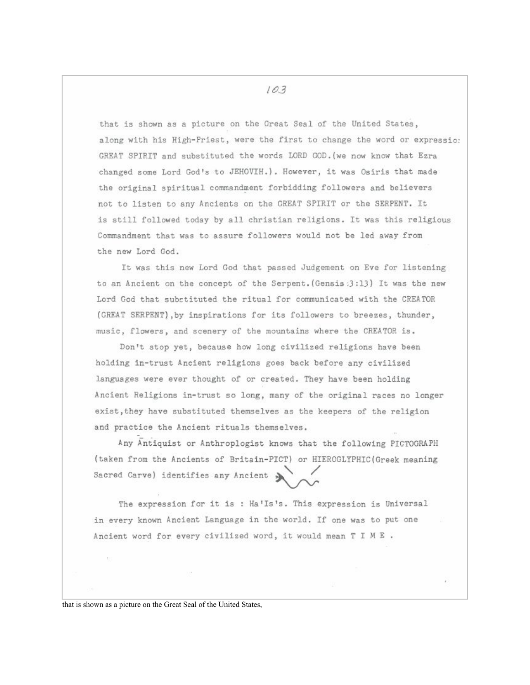that is shown as a picture on the Great Seal of the United States, along with his High-Priest, were the first to change the word or expressio: GREAT SPIRIT and substituted the words LORD GOD. (we now know that Ezra changed some Lord God's to JEHOVIH.). However, it was Osiris that made the original spiritual commandment forbidding followers and believers not to listen to any Ancients on the GREAT SPIRIT or the SERPENT. It is still followed today by all christian religions. It was this religious Commandment that was to assure followers would not be led away from the new Lord God.

It was this new Lord God that passed Judgement on Eve for listening to an Ancient on the concept of the Serpent. (Gensis: 3:13) It was the new Lord God that substituted the ritual for communicated with the CREATOR (GREAT SERPENT), by inspirations for its followers to breezes, thunder, music, flowers, and scenery of the mountains where the CREATOR is.

Don't stop yet, because how long civilized religions have been holding in-trust Ancient religions goes back before any civilized languages were ever thought of or created. They have been holding Ancient Religions in-trust so long, many of the original races no longer exist, they have substituted themselves as the keepers of the religion and practice the Ancient rituals themselves.

Any Antiquist or Anthroplogist knows that the following PICTOGRAPH (taken from the Ancients of Britain-PICT) or HIEROGLYPHIC(Greek meaning Sacred Carve) identifies any Ancient >

The expression for it is : Ha'Is's. This expression is Universal in every known Ancient Language in the world. If one was to put one Ancient word for every civilized word, it would mean T I M E .

that is shown as a picture on the Great Seal of the United States,

103